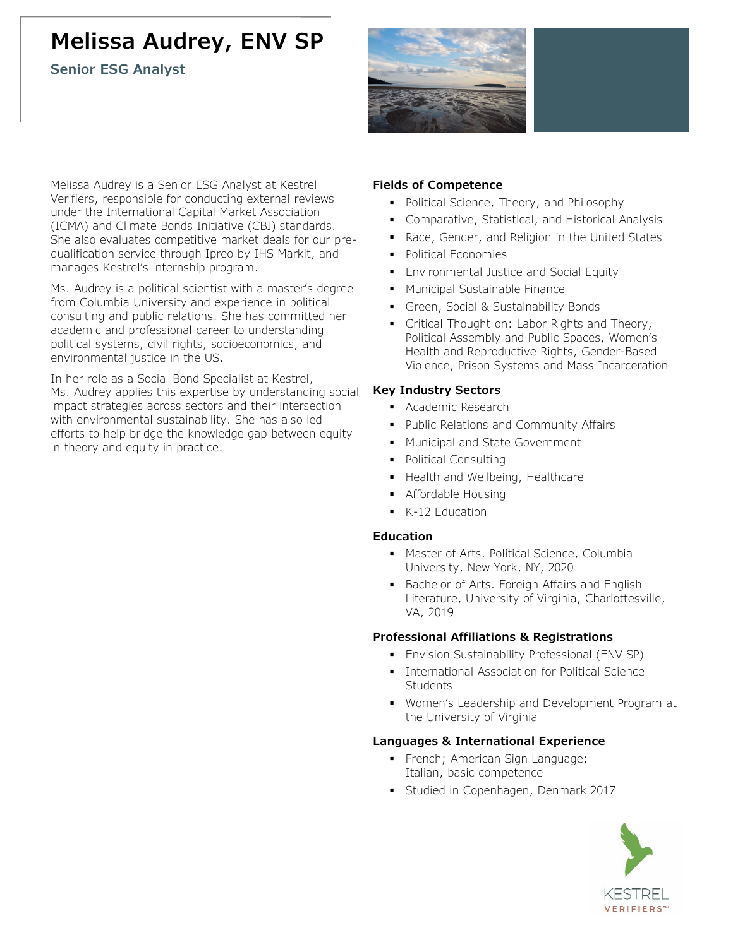# **Melissa Audrey, ENV SP**

**Senior ESG Analyst**



Melissa Audrey is a Senior ESG Analyst at Kestrel Verifiers, responsible for conducting external reviews under the International Capital Market Association (ICMA) and Climate Bonds Initiative (CBI) standards. She also evaluates competitive market deals for our prequalification service through Ipreo by IHS Markit, and manages Kestrel's internship program.

Ms. Audrey is a political scientist with a master's degree from Columbia University and experience in political consulting and public relations. She has committed her academic and professional career to understanding political systems, civil rights, socioeconomics, and environmental justice in the US.

In her role as a Social Bond Specialist at Kestrel, Ms. Audrey applies this expertise by understanding social impact strategies across sectors and their intersection with environmental sustainability. She has also led efforts to help bridge the knowledge gap between equity in theory and equity in practice.

## **Fields of Competence**

- Political Science, Theory, and Philosophy
- **Comparative, Statistical, and Historical Analysis**
- Race, Gender, and Religion in the United States
- **Political Economies**
- **Environmental Justice and Social Equity**
- **Municipal Sustainable Finance**
- Green, Social & Sustainability Bonds
- Critical Thought on: Labor Rights and Theory, Political Assembly and Public Spaces, Women's Health and Reproductive Rights, Gender-Based Violence, Prison Systems and Mass Incarceration

## **Key Industry Sectors**

- **Academic Research**
- **Public Relations and Community Affairs**
- **Municipal and State Government**
- Political Consulting
- Health and Wellbeing, Healthcare
- **-** Affordable Housing
- K-12 Education

### **Education**

- **Master of Arts. Political Science, Columbia** University, New York, NY, 2020
- **Bachelor of Arts. Foreign Affairs and English** Literature, University of Virginia, Charlottesville, VA, 2019

## **Professional Affiliations & Registrations**

- **Envision Sustainability Professional (ENV SP)**
- **International Association for Political Science Students**
- Women's Leadership and Development Program at the University of Virginia

## **Languages & International Experience**

- French; American Sign Language; Italian, basic competence
- Studied in Copenhagen, Denmark 2017

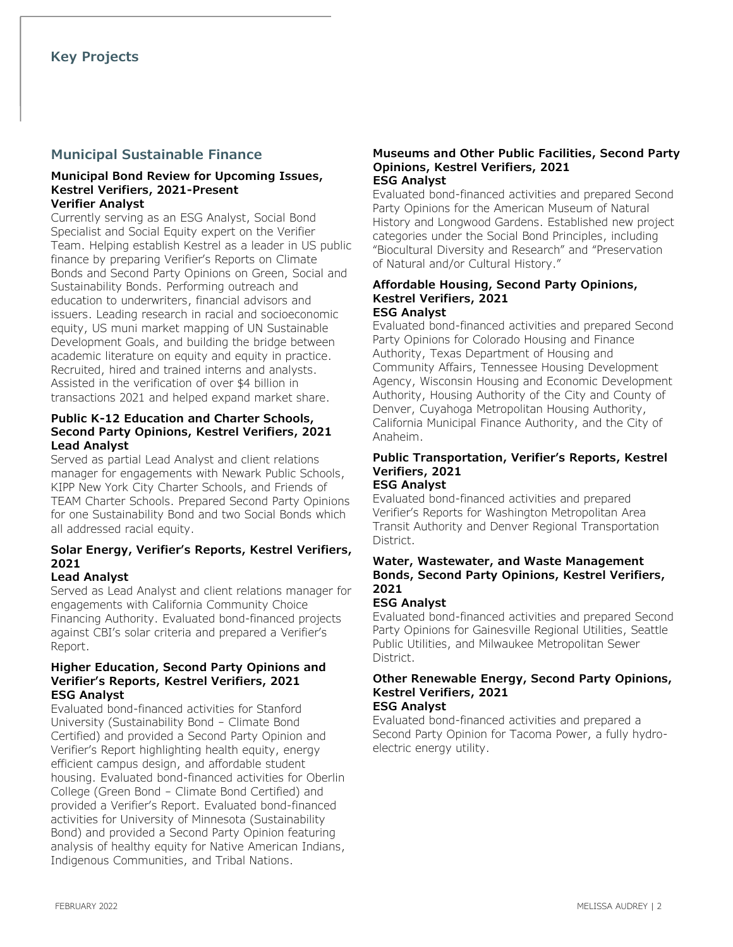# **Municipal Sustainable Finance**

#### **Municipal Bond Review for Upcoming Issues, Kestrel Verifiers, 2021-Present Verifier Analyst**

Currently serving as an ESG Analyst, Social Bond Specialist and Social Equity expert on the Verifier Team. Helping establish Kestrel as a leader in US public finance by preparing Verifier's Reports on Climate Bonds and Second Party Opinions on Green, Social and Sustainability Bonds. Performing outreach and education to underwriters, financial advisors and issuers. Leading research in racial and socioeconomic equity, US muni market mapping of UN Sustainable Development Goals, and building the bridge between academic literature on equity and equity in practice. Recruited, hired and trained interns and analysts. Assisted in the verification of over \$4 billion in transactions 2021 and helped expand market share.

## **Public K-12 Education and Charter Schools, Second Party Opinions, Kestrel Verifiers, 2021 Lead Analyst**

Served as partial Lead Analyst and client relations manager for engagements with Newark Public Schools, KIPP New York City Charter Schools, and Friends of TEAM Charter Schools. Prepared Second Party Opinions for one Sustainability Bond and two Social Bonds which all addressed racial equity.

## **Solar Energy, Verifier's Reports, Kestrel Verifiers, 2021**

## **Lead Analyst**

Served as Lead Analyst and client relations manager for engagements with California Community Choice Financing Authority. Evaluated bond-financed projects against CBI's solar criteria and prepared a Verifier's Report.

#### **Higher Education, Second Party Opinions and Verifier's Reports, Kestrel Verifiers, 2021 ESG Analyst**

Evaluated bond-financed activities for Stanford University (Sustainability Bond – Climate Bond Certified) and provided a Second Party Opinion and Verifier's Report highlighting health equity, energy efficient campus design, and affordable student housing. Evaluated bond-financed activities for Oberlin College (Green Bond – Climate Bond Certified) and provided a Verifier's Report. Evaluated bond-financed activities for University of Minnesota (Sustainability Bond) and provided a Second Party Opinion featuring analysis of healthy equity for Native American Indians, Indigenous Communities, and Tribal Nations.

#### **Museums and Other Public Facilities, Second Party Opinions, Kestrel Verifiers, 2021 ESG Analyst**

Evaluated bond-financed activities and prepared Second Party Opinions for the American Museum of Natural History and Longwood Gardens. Established new project categories under the Social Bond Principles, including "Biocultural Diversity and Research" and "Preservation of Natural and/or Cultural History."

#### **Affordable Housing, Second Party Opinions, Kestrel Verifiers, 2021 ESG Analyst**

Evaluated bond-financed activities and prepared Second Party Opinions for Colorado Housing and Finance Authority, Texas Department of Housing and Community Affairs, Tennessee Housing Development Agency, Wisconsin Housing and Economic Development Authority, Housing Authority of the City and County of Denver, Cuyahoga Metropolitan Housing Authority, California Municipal Finance Authority, and the City of Anaheim.

# **Public Transportation, Verifier's Reports, Kestrel Verifiers, 2021**

# **ESG Analyst**

Evaluated bond-financed activities and prepared Verifier's Reports for Washington Metropolitan Area Transit Authority and Denver Regional Transportation District.

## **Water, Wastewater, and Waste Management Bonds, Second Party Opinions, Kestrel Verifiers, 2021**

## **ESG Analyst**

Evaluated bond-financed activities and prepared Second Party Opinions for Gainesville Regional Utilities, Seattle Public Utilities, and Milwaukee Metropolitan Sewer District.

#### **Other Renewable Energy, Second Party Opinions, Kestrel Verifiers, 2021 ESG Analyst**

Evaluated bond-financed activities and prepared a Second Party Opinion for Tacoma Power, a fully hydroelectric energy utility.